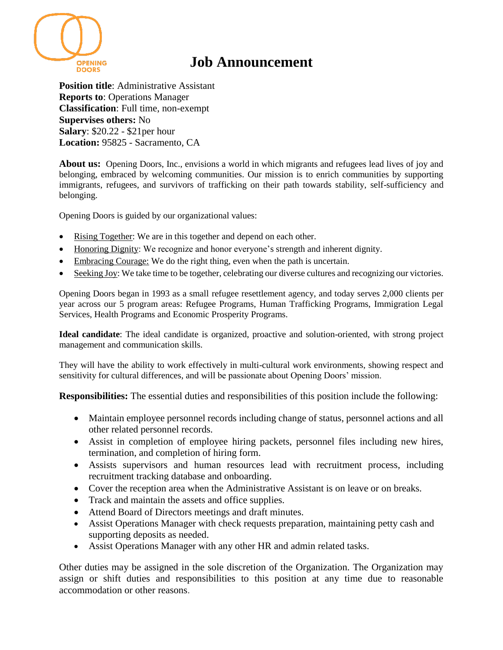

## **Job Announcement**

**Position title**: Administrative Assistant **Reports to**: Operations Manager **Classification**: Full time, non-exempt **Supervises others:** No **Salary**: \$20.22 - \$21per hour **Location:** 95825 - Sacramento, CA

**About us:** Opening Doors, Inc., envisions a world in which migrants and refugees lead lives of joy and belonging, embraced by welcoming communities. Our mission is to enrich communities by supporting immigrants, refugees, and survivors of trafficking on their path towards stability, self-sufficiency and belonging.

Opening Doors is guided by our organizational values:

- Rising Together: We are in this together and depend on each other.
- Honoring Dignity: We recognize and honor everyone's strength and inherent dignity.
- Embracing Courage: We do the right thing, even when the path is uncertain.
- Seeking Joy: We take time to be together, celebrating our diverse cultures and recognizing our victories.

Opening Doors began in 1993 as a small refugee resettlement agency, and today serves 2,000 clients per year across our 5 program areas: Refugee Programs, Human Trafficking Programs, Immigration Legal Services, Health Programs and Economic Prosperity Programs.

**Ideal candidate**: The ideal candidate is organized, proactive and solution-oriented, with strong project management and communication skills.

They will have the ability to work effectively in multi-cultural work environments, showing respect and sensitivity for cultural differences, and will be passionate about Opening Doors' mission.

**Responsibilities:** The essential duties and responsibilities of this position include the following:

- Maintain employee personnel records including change of status, personnel actions and all other related personnel records.
- Assist in completion of employee hiring packets, personnel files including new hires, termination, and completion of hiring form.
- Assists supervisors and human resources lead with recruitment process, including recruitment tracking database and onboarding.
- Cover the reception area when the Administrative Assistant is on leave or on breaks.
- Track and maintain the assets and office supplies.
- Attend Board of Directors meetings and draft minutes.
- Assist Operations Manager with check requests preparation, maintaining petty cash and supporting deposits as needed.
- Assist Operations Manager with any other HR and admin related tasks.

Other duties may be assigned in the sole discretion of the Organization. The Organization may assign or shift duties and responsibilities to this position at any time due to reasonable accommodation or other reasons.